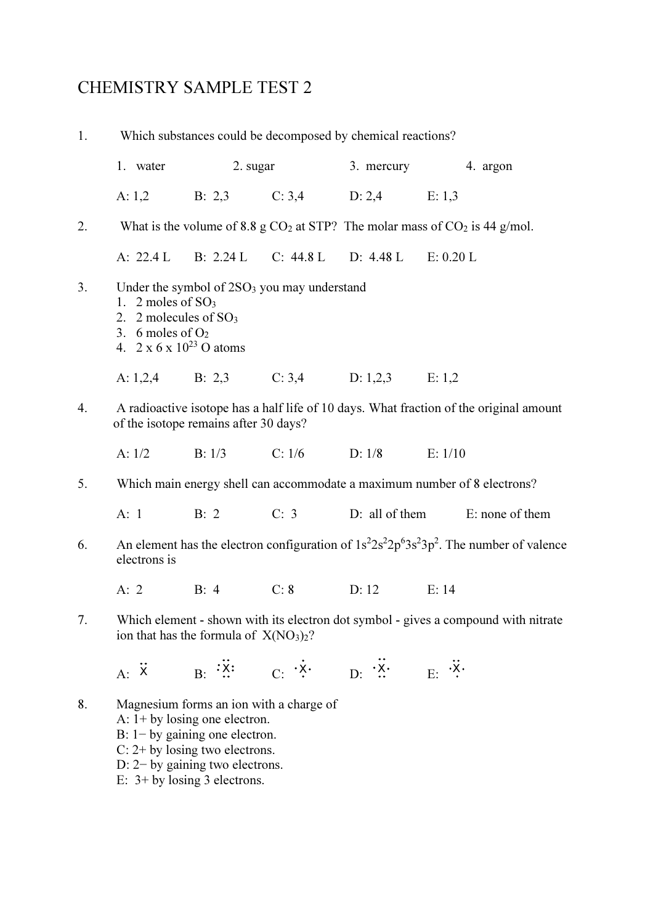## CHEMISTRY SAMPLE TEST 2

| 1. | Which substances could be decomposed by chemical reactions?                                                                                                                                                               |      |          |                                                                                |                                                                          |
|----|---------------------------------------------------------------------------------------------------------------------------------------------------------------------------------------------------------------------------|------|----------|--------------------------------------------------------------------------------|--------------------------------------------------------------------------|
|    | 1. water                                                                                                                                                                                                                  |      | 2. sugar | 3. mercury                                                                     | 4. argon                                                                 |
|    | A: $1,2$                                                                                                                                                                                                                  |      |          | B: 2,3 C: 3,4 D: 2,4 E: 1,3                                                    |                                                                          |
| 2. | What is the volume of 8.8 g $CO2$ at STP? The molar mass of $CO2$ is 44 g/mol.                                                                                                                                            |      |          |                                                                                |                                                                          |
|    |                                                                                                                                                                                                                           |      |          | A: 22.4 L B: 2.24 L C: 44.8 L D: 4.48 L E: 0.20 L                              |                                                                          |
| 3. | Under the symbol of 2SO <sub>3</sub> you may understand<br>1. 2 moles of $SO3$<br>2. 2 molecules of $SO_3$<br>3. 6 moles of $O2$<br>4. $2 \times 6 \times 10^{23}$ O atoms                                                |      |          |                                                                                |                                                                          |
|    |                                                                                                                                                                                                                           |      |          | A: 1,2,4 B: 2,3 C: 3,4 D: 1,2,3 E: 1,2                                         |                                                                          |
| 4. | A radioactive isotope has a half life of 10 days. What fraction of the original amount<br>of the isotope remains after 30 days?                                                                                           |      |          |                                                                                |                                                                          |
|    | A: 1/2                                                                                                                                                                                                                    |      |          | B: $1/3$ C: $1/6$ D: $1/8$ E: $1/10$                                           |                                                                          |
| 5. |                                                                                                                                                                                                                           |      |          |                                                                                | Which main energy shell can accommodate a maximum number of 8 electrons? |
|    | A: 1                                                                                                                                                                                                                      |      |          |                                                                                | B: 2 C: 3 D: all of them E: none of them                                 |
| 6. | An element has the electron configuration of $1s^22s^22p^63s^23p^2$ . The number of valence<br>electrons is                                                                                                               |      |          |                                                                                |                                                                          |
|    | A: $2$                                                                                                                                                                                                                    | B: 4 | C: 8     | D: 12                                                                          | E: 14                                                                    |
| 7. | Which element - shown with its electron dot symbol - gives a compound with nitrate<br>ion that has the formula of $X(NO3)2$ ?                                                                                             |      |          |                                                                                |                                                                          |
|    |                                                                                                                                                                                                                           |      |          | A: $\ddot{x}$ B: $\dddot{x}$ : C: $\dot{x}$ . D: $\dddot{x}$ . E: $\ddot{x}$ . |                                                                          |
| 8. | Magnesium forms an ion with a charge of<br>A: $1+$ by losing one electron.<br>$B: 1 - by gaining one electron.$<br>$C: 2+$ by losing two electrons.<br>$D: 2$ by gaining two electrons.<br>E: $3+$ by losing 3 electrons. |      |          |                                                                                |                                                                          |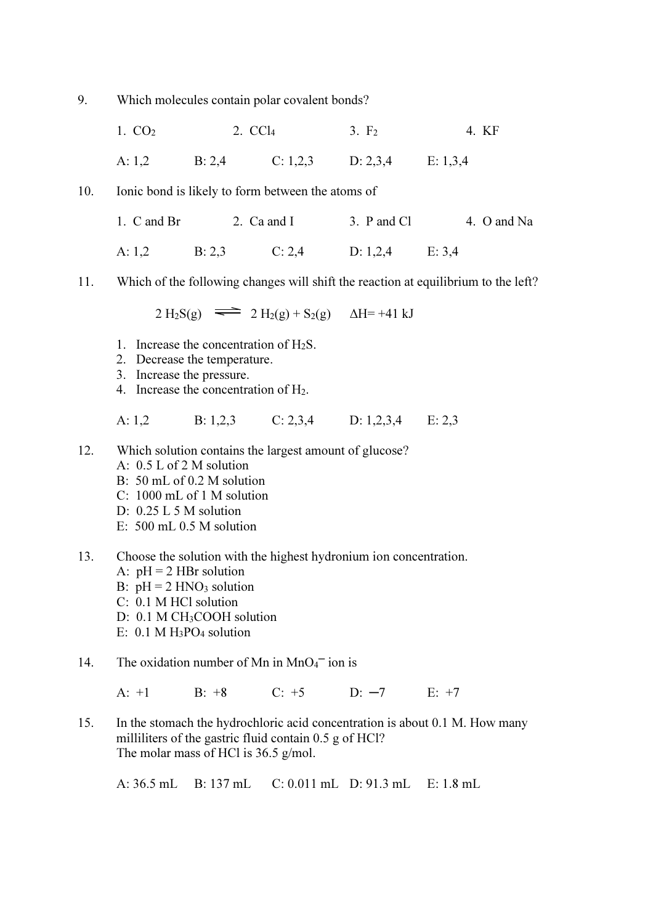9. Which molecules contain polar covalent bonds?

- 1.  $CO<sub>2</sub>$  2.  $CCl<sub>4</sub>$  3.  $F<sub>2</sub>$  4. KF A: 1,2 B: 2,4 C: 1,2,3 D: 2,3,4 E: 1,3,4
- 10. Ionic bond is likely to form between the atoms of
	- 1. C and Br 2. Ca and I 3. P and Cl 4. O and Na A: 1,2 B: 2,3 C: 2,4 D: 1,2,4 E: 3,4
- 11. Which of the following changes will shift the reaction at equilibrium to the left?

 $2 \text{ H}_2\text{S}(g) \equiv 2 \text{ H}_2(g) + \text{S}_2(g) \quad \Delta H = +41 \text{ kJ}$ 

- 1. Increase the concentration of H2S.
- 2. Decrease the temperature.
- 3. Increase the pressure.
- 4. Increase the concentration of  $H<sub>2</sub>$ .

A: 1,2 B: 1,2,3 C: 2,3,4 D: 1,2,3,4 E: 2,3

- 12. Which solution contains the largest amount of glucose?
	- A: 0.5 L of 2 M solution
	- B: 50 mL of 0.2 M solution
	- C: 1000 mL of 1 M solution
	- D: 0.25 L 5 M solution
	- E: 500 mL 0.5 M solution
- 13. Choose the solution with the highest hydronium ion concentration. A:  $pH = 2 HBr$  solution B:  $pH = 2 HNO<sub>3</sub>$  solution C: 0.1 M HCl solution D: 0.1 M CH<sub>3</sub>COOH solution E:  $0.1 M H_3PO_4$  solution
- 14. The oxidation number of Mn in  $MnO<sub>4</sub><sup>-</sup>$  ion is

A: +1 B: +8 C: +5 D: −7 E: +7

15. In the stomach the hydrochloric acid concentration is about 0.1 M. How many milliliters of the gastric fluid contain 0.5 g of HCl? The molar mass of HCl is 36.5 g/mol.

A: 36.5 mL B: 137 mL C: 0.011 mL D: 91.3 mL E: 1.8 mL